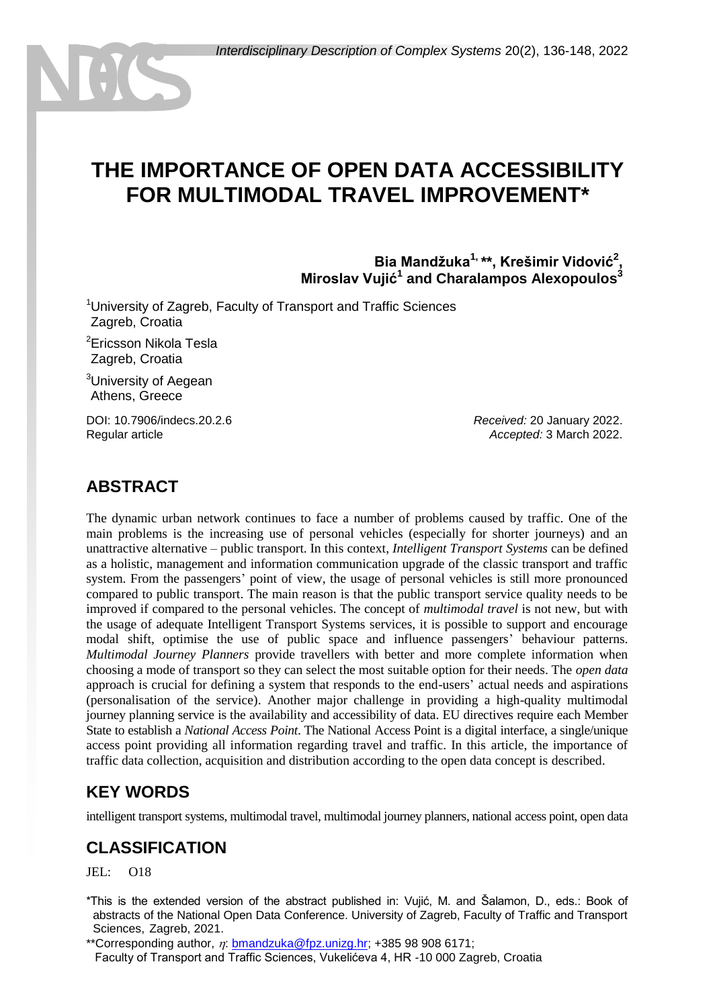# **THE IMPORTANCE OF OPEN DATA ACCESSIBILITY FOR MULTIMODAL TRAVEL IMPROVEMENT\***

**Bia Mandžuka1, \*\*, Krešimir Vidović<sup>2</sup> , Miroslav Vujić<sup>1</sup> and Charalampos Alexopoulos<sup>3</sup>**

<sup>1</sup>University of Zagreb, Faculty of Transport and Traffic Sciences Zagreb, Croatia

<sup>2</sup>Ericsson Nikola Tesla <sup>2</sup>Zagreb, Croatia

<sup>3</sup>University of Aegean Athens, Greece

DOI: 10.7906/indecs.20.2.6 Regular article

*Received:* 20 January 2022. *Accepted:* 3 March 2022.

#### **ABSTRACT**

The dynamic urban network continues to face a number of problems caused by traffic. One of the main problems is the increasing use of personal vehicles (especially for shorter journeys) and an unattractive alternative – public transport. In this context, *Intelligent Transport Systems* can be defined as a holistic, management and information communication upgrade of the classic transport and traffic system. From the passengers' point of view, the usage of personal vehicles is still more pronounced compared to public transport. The main reason is that the public transport service quality needs to be improved if compared to the personal vehicles. The concept of *multimodal travel* is not new, but with the usage of adequate Intelligent Transport Systems services, it is possible to support and encourage modal shift, optimise the use of public space and influence passengers' behaviour patterns. *Multimodal Journey Planners* provide travellers with better and more complete information when choosing a mode of transport so they can select the most suitable option for their needs. The *open data* approach is crucial for defining a system that responds to the end-users' actual needs and aspirations (personalisation of the service). Another major challenge in providing a high-quality multimodal journey planning service is the availability and accessibility of data. EU directives require each Member State to establish a *National Access Point*. The National Access Point is a digital interface, a single/unique access point providing all information regarding travel and traffic. In this article, the importance of traffic data collection, acquisition and distribution according to the open data concept is described.

#### **KEY WORDS**

intelligent transport systems, multimodal travel, multimodal journey planners, national access point, open data

#### **CLASSIFICATION**

JEL: O18

\*This is the extended version of the abstract published in: Vujić, M. and Šalamon, D., eds.: Book of abstracts of the National Open Data Conference. University of Zagreb, Faculty of Traffic and Transport Sciences, Zagreb, 2021.

\*\*Corresponding author,  $\eta$ : [bmandzuka@fpz.unizg.hr;](mailto:bmandzuka@fpz.unizg.hr) +385 98 908 6171; Faculty of Transport and Traffic Sciences, Vukelićeva 4, HR -10 000 Zagreb, Croatia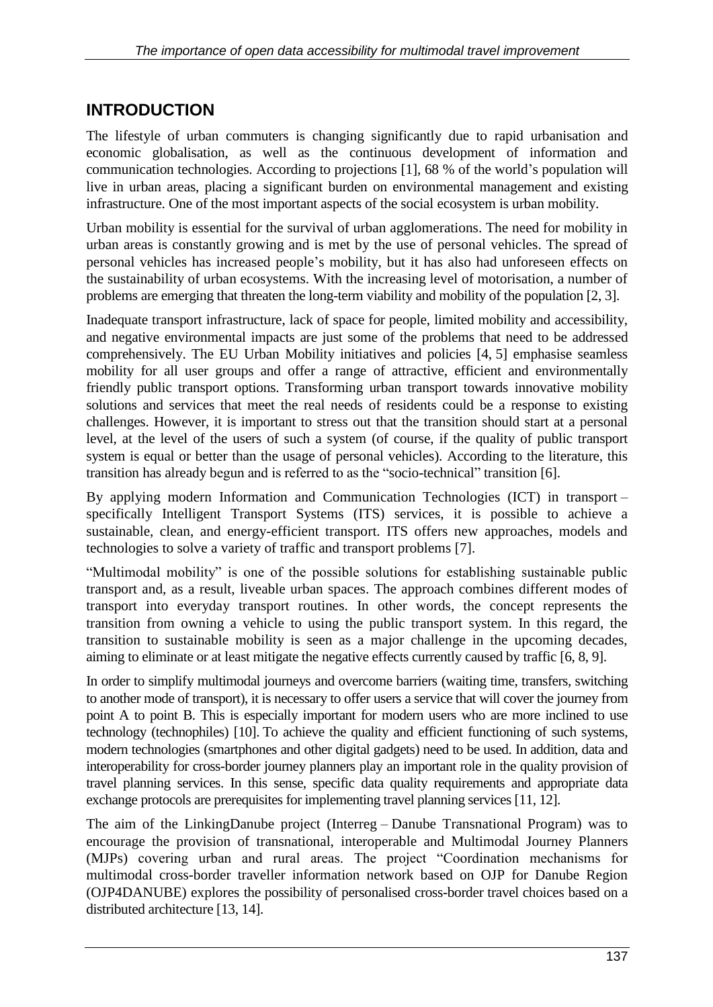## **INTRODUCTION**

The lifestyle of urban commuters is changing significantly due to rapid urbanisation and economic globalisation, as well as the continuous development of information and communication technologies. According to projections [1], 68 % of the world's population will live in urban areas, placing a significant burden on environmental management and existing infrastructure. One of the most important aspects of the social ecosystem is urban mobility.

Urban mobility is essential for the survival of urban agglomerations. The need for mobility in urban areas is constantly growing and is met by the use of personal vehicles. The spread of personal vehicles has increased people's mobility, but it has also had unforeseen effects on the sustainability of urban ecosystems. With the increasing level of motorisation, a number of problems are emerging that threaten the long-term viability and mobility of the population [2, 3].

Inadequate transport infrastructure, lack of space for people, limited mobility and accessibility, and negative environmental impacts are just some of the problems that need to be addressed comprehensively. The EU Urban Mobility initiatives and policies [4, 5] emphasise seamless mobility for all user groups and offer a range of attractive, efficient and environmentally friendly public transport options. Transforming urban transport towards innovative mobility solutions and services that meet the real needs of residents could be a response to existing challenges. However, it is important to stress out that the transition should start at a personal level, at the level of the users of such a system (of course, if the quality of public transport system is equal or better than the usage of personal vehicles). According to the literature, this transition has already begun and is referred to as the "socio-technical" transition [6].

By applying modern Information and Communication Technologies (ICT) in transport – specifically Intelligent Transport Systems (ITS) services, it is possible to achieve a sustainable, clean, and energy-efficient transport. ITS offers new approaches, models and technologies to solve a variety of traffic and transport problems [7].

"Multimodal mobility" is one of the possible solutions for establishing sustainable public transport and, as a result, liveable urban spaces. The approach combines different modes of transport into everyday transport routines. In other words, the concept represents the transition from owning a vehicle to using the public transport system. In this regard, the transition to sustainable mobility is seen as a major challenge in the upcoming decades, aiming to eliminate or at least mitigate the negative effects currently caused by traffic [6, 8, 9].

In order to simplify multimodal journeys and overcome barriers (waiting time, transfers, switching to another mode of transport), it is necessary to offer users a service that will cover the journey from point A to point B. This is especially important for modern users who are more inclined to use technology (technophiles) [10]. To achieve the quality and efficient functioning of such systems, modern technologies (smartphones and other digital gadgets) need to be used. In addition, data and interoperability for cross-border journey planners play an important role in the quality provision of travel planning services. In this sense, specific data quality requirements and appropriate data exchange protocols are prerequisites for implementing travel planning services [11, 12].

The aim of the LinkingDanube project (Interreg – Danube Transnational Program) was to encourage the provision of transnational, interoperable and Multimodal Journey Planners (MJPs) covering urban and rural areas. The project "Coordination mechanisms for multimodal cross-border traveller information network based on OJP for Danube Region (OJP4DANUBE) explores the possibility of personalised cross-border travel choices based on a distributed architecture [13, 14].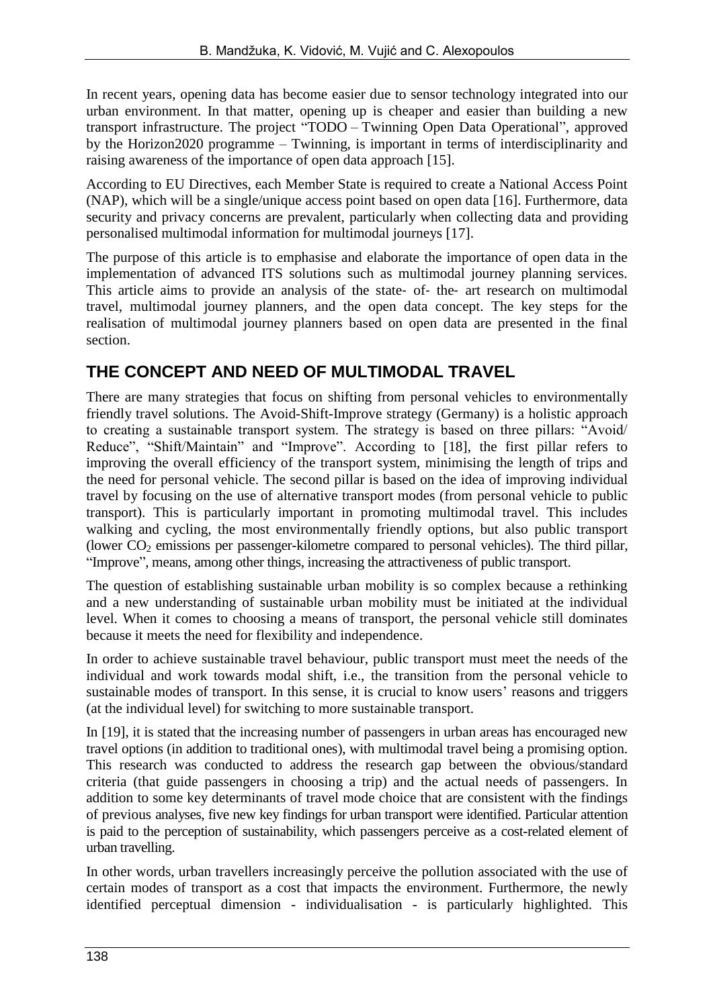In recent years, opening data has become easier due to sensor technology integrated into our urban environment. In that matter, opening up is cheaper and easier than building a new transport infrastructure. The project "TODO – Twinning Open Data Operational", approved by the Horizon2020 programme – Twinning, is important in terms of interdisciplinarity and raising awareness of the importance of open data approach [15].

According to EU Directives, each Member State is required to create a National Access Point (NAP), which will be a single/unique access point based on open data [16]. Furthermore, data security and privacy concerns are prevalent, particularly when collecting data and providing personalised multimodal information for multimodal journeys [17].

The purpose of this article is to emphasise and elaborate the importance of open data in the implementation of advanced ITS solutions such as multimodal journey planning services. This article aims to provide an analysis of the state- of- the- art research on multimodal travel, multimodal journey planners, and the open data concept. The key steps for the realisation of multimodal journey planners based on open data are presented in the final section.

# **THE CONCEPT AND NEED OF MULTIMODAL TRAVEL**

There are many strategies that focus on shifting from personal vehicles to environmentally friendly travel solutions. The Avoid-Shift-Improve strategy (Germany) is a holistic approach to creating a sustainable transport system. The strategy is based on three pillars: "Avoid/ Reduce", "Shift/Maintain" and "Improve". According to [18], the first pillar refers to improving the overall efficiency of the transport system, minimising the length of trips and the need for personal vehicle. The second pillar is based on the idea of improving individual travel by focusing on the use of alternative transport modes (from personal vehicle to public transport). This is particularly important in promoting multimodal travel. This includes walking and cycling, the most environmentally friendly options, but also public transport (lower  $CO<sub>2</sub>$  emissions per passenger-kilometre compared to personal vehicles). The third pillar, "Improve", means, among other things, increasing the attractiveness of public transport.

The question of establishing sustainable urban mobility is so complex because a rethinking and a new understanding of sustainable urban mobility must be initiated at the individual level. When it comes to choosing a means of transport, the personal vehicle still dominates because it meets the need for flexibility and independence.

In order to achieve sustainable travel behaviour, public transport must meet the needs of the individual and work towards modal shift, i.e., the transition from the personal vehicle to sustainable modes of transport. In this sense, it is crucial to know users' reasons and triggers (at the individual level) for switching to more sustainable transport.

In [19], it is stated that the increasing number of passengers in urban areas has encouraged new travel options (in addition to traditional ones), with multimodal travel being a promising option. This research was conducted to address the research gap between the obvious/standard criteria (that guide passengers in choosing a trip) and the actual needs of passengers. In addition to some key determinants of travel mode choice that are consistent with the findings of previous analyses, five new key findings for urban transport were identified. Particular attention is paid to the perception of sustainability, which passengers perceive as a cost-related element of urban travelling.

In other words, urban travellers increasingly perceive the pollution associated with the use of certain modes of transport as a cost that impacts the environment. Furthermore, the newly identified perceptual dimension - individualisation - is particularly highlighted. This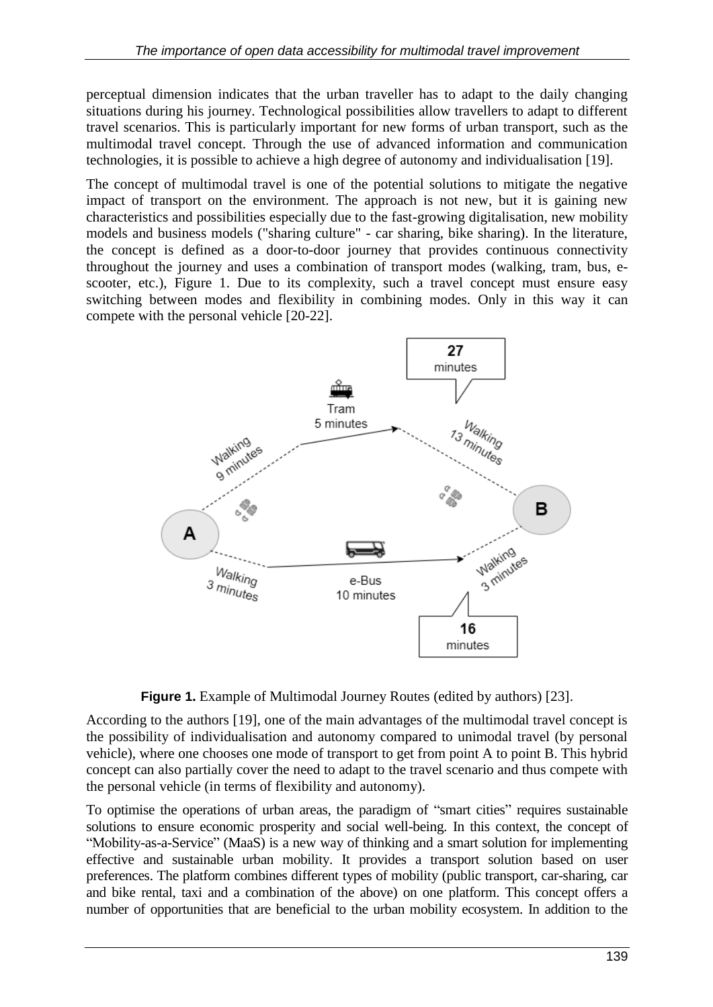perceptual dimension indicates that the urban traveller has to adapt to the daily changing situations during his journey. Technological possibilities allow travellers to adapt to different travel scenarios. This is particularly important for new forms of urban transport, such as the multimodal travel concept. Through the use of advanced information and communication technologies, it is possible to achieve a high degree of autonomy and individualisation [19].

The concept of multimodal travel is one of the potential solutions to mitigate the negative impact of transport on the environment. The approach is not new, but it is gaining new characteristics and possibilities especially due to the fast-growing digitalisation, new mobility models and business models ("sharing culture" - car sharing, bike sharing). In the literature, the concept is defined as a door-to-door journey that provides continuous connectivity throughout the journey and uses a combination of transport modes (walking, tram, bus, escooter, etc.), Figure 1. Due to its complexity, such a travel concept must ensure easy switching between modes and flexibility in combining modes. Only in this way it can compete with the personal vehicle [20-22].





According to the authors [19], one of the main advantages of the multimodal travel concept is the possibility of individualisation and autonomy compared to unimodal travel (by personal vehicle), where one chooses one mode of transport to get from point A to point B. This hybrid concept can also partially cover the need to adapt to the travel scenario and thus compete with the personal vehicle (in terms of flexibility and autonomy).

To optimise the operations of urban areas, the paradigm of "smart cities" requires sustainable solutions to ensure economic prosperity and social well-being. In this context, the concept of "Mobility-as-a-Service" (MaaS) is a new way of thinking and a smart solution for implementing effective and sustainable urban mobility. It provides a transport solution based on user preferences. The platform combines different types of mobility (public transport, car-sharing, car and bike rental, taxi and a combination of the above) on one platform. This concept offers a number of opportunities that are beneficial to the urban mobility ecosystem. In addition to the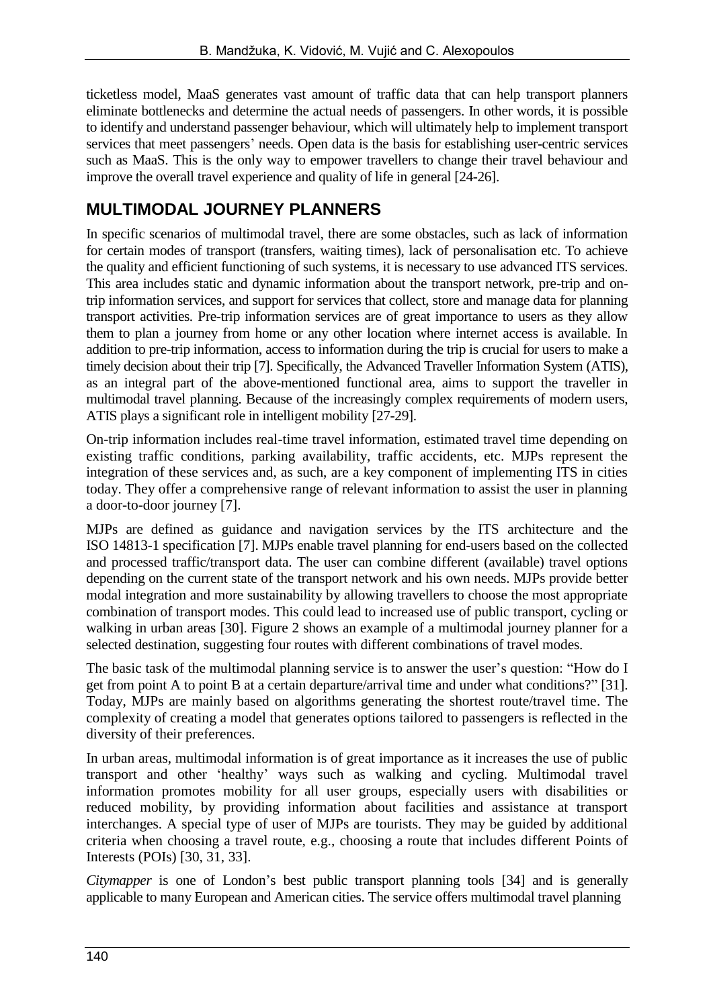ticketless model, MaaS generates vast amount of traffic data that can help transport planners eliminate bottlenecks and determine the actual needs of passengers. In other words, it is possible to identify and understand passenger behaviour, which will ultimately help to implement transport services that meet passengers' needs. Open data is the basis for establishing user-centric services such as MaaS. This is the only way to empower travellers to change their travel behaviour and improve the overall travel experience and quality of life in general [24-26].

## **MULTIMODAL JOURNEY PLANNERS**

In specific scenarios of multimodal travel, there are some obstacles, such as lack of information for certain modes of transport (transfers, waiting times), lack of personalisation etc. To achieve the quality and efficient functioning of such systems, it is necessary to use advanced ITS services. This area includes static and dynamic information about the transport network, pre-trip and ontrip information services, and support for services that collect, store and manage data for planning transport activities. Pre-trip information services are of great importance to users as they allow them to plan a journey from home or any other location where internet access is available. In addition to pre-trip information, access to information during the trip is crucial for users to make a timely decision about their trip [7]. Specifically, the Advanced Traveller Information System (ATIS), as an integral part of the above-mentioned functional area, aims to support the traveller in multimodal travel planning. Because of the increasingly complex requirements of modern users, ATIS plays a significant role in intelligent mobility [27-29].

On-trip information includes real-time travel information, estimated travel time depending on existing traffic conditions, parking availability, traffic accidents, etc. MJPs represent the integration of these services and, as such, are a key component of implementing ITS in cities today. They offer a comprehensive range of relevant information to assist the user in planning a door-to-door journey [7].

MJPs are defined as guidance and navigation services by the ITS architecture and the ISO 14813-1 specification [7]. MJPs enable travel planning for end-users based on the collected and processed traffic/transport data. The user can combine different (available) travel options depending on the current state of the transport network and his own needs. MJPs provide better modal integration and more sustainability by allowing travellers to choose the most appropriate combination of transport modes. This could lead to increased use of public transport, cycling or walking in urban areas [30]. Figure 2 shows an example of a multimodal journey planner for a selected destination, suggesting four routes with different combinations of travel modes.

The basic task of the multimodal planning service is to answer the user's question: "How do I get from point A to point B at a certain departure/arrival time and under what conditions?" [31]. Today, MJPs are mainly based on algorithms generating the shortest route/travel time. The complexity of creating a model that generates options tailored to passengers is reflected in the diversity of their preferences.

In urban areas, multimodal information is of great importance as it increases the use of public transport and other 'healthy' ways such as walking and cycling. Multimodal travel information promotes mobility for all user groups, especially users with disabilities or reduced mobility, by providing information about facilities and assistance at transport interchanges. A special type of user of MJPs are tourists. They may be guided by additional criteria when choosing a travel route, e.g., choosing a route that includes different Points of Interests (POIs) [30, 31, 33].

*Citymapper* is one of London's best public transport planning tools [34] and is generally applicable to many European and American cities. The service offers multimodal travel planning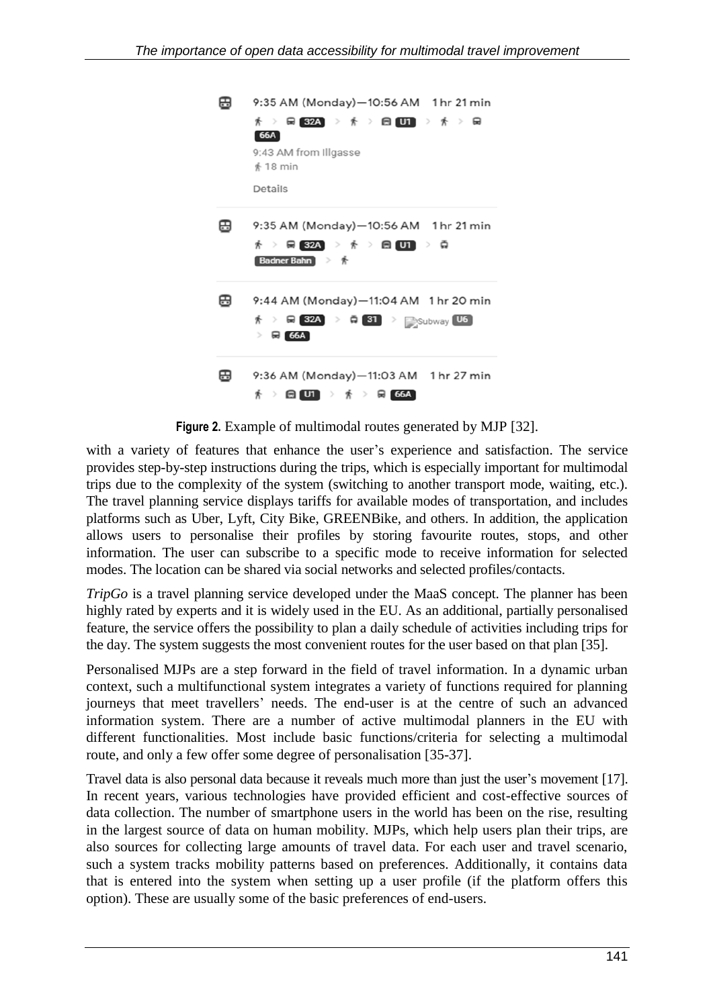| ⊞ | 9:35 AM (Monday)-10:56 AM 1 hr 21 min                                                                                                                                                     |
|---|-------------------------------------------------------------------------------------------------------------------------------------------------------------------------------------------|
|   | ∦ > 믋 32A → ∦ > 읍 U1 → ∦ > 品<br>66A<br>9:43 AM from Illgasse<br>$*18$ min<br>Details                                                                                                      |
| ⊞ | 9:35 AM (Monday)-10:56 AM 1 hr 21 min<br>$\frac{1}{\Lambda}$ $>$ $\frac{}{\rm R}$ 32A $>$ $\frac{}{\rm A}$ $>$ $\frac{}{\rm R}$ $\frac{}{\rm U1}$ $>$ $\frac{}{\rm R}$<br>Badner Bahn 》 齐 |
| ⊞ | 9:44 AM (Monday)-11:04 AM 1 hr 20 min<br>$\frac{1}{\Lambda}$ > $\frac{1}{\Lambda}$ 32A > $\frac{1}{\Lambda}$ 31 > $\frac{1}{\Lambda}$ Subway U6<br>$\triangleright$ $\boxplus$ $66A$      |
| ⊞ | 9:36 AM (Monday)-11:03 AM 1 hr 27 min<br>$\frac{1}{\Lambda}$ $>$ $\bigoplus$ $\bigoplus$ $\bigoplus$ $\bigoplus$ $>$ $\frac{1}{\Lambda}$ $>$ $\bigoplus$ $\bigoplus$ 66A $\bigoplus$      |

**Figure 2.** Example of multimodal routes generated by MJP [32].

with a variety of features that enhance the user's experience and satisfaction. The service provides step-by-step instructions during the trips, which is especially important for multimodal trips due to the complexity of the system (switching to another transport mode, waiting, etc.). The travel planning service displays tariffs for available modes of transportation, and includes platforms such as Uber, Lyft, City Bike, GREENBike, and others. In addition, the application allows users to personalise their profiles by storing favourite routes, stops, and other information. The user can subscribe to a specific mode to receive information for selected modes. The location can be shared via social networks and selected profiles/contacts.

*TripGo* is a travel planning service developed under the MaaS concept. The planner has been highly rated by experts and it is widely used in the EU. As an additional, partially personalised feature, the service offers the possibility to plan a daily schedule of activities including trips for the day. The system suggests the most convenient routes for the user based on that plan [35].

Personalised MJPs are a step forward in the field of travel information. In a dynamic urban context, such a multifunctional system integrates a variety of functions required for planning journeys that meet travellers' needs. The end-user is at the centre of such an advanced information system. There are a number of active multimodal planners in the EU with different functionalities. Most include basic functions/criteria for selecting a multimodal route, and only a few offer some degree of personalisation [35-37].

Travel data is also personal data because it reveals much more than just the user's movement [17]. In recent years, various technologies have provided efficient and cost-effective sources of data collection. The number of smartphone users in the world has been on the rise, resulting in the largest source of data on human mobility. MJPs, which help users plan their trips, are also sources for collecting large amounts of travel data. For each user and travel scenario, such a system tracks mobility patterns based on preferences. Additionally, it contains data that is entered into the system when setting up a user profile (if the platform offers this option). These are usually some of the basic preferences of end-users.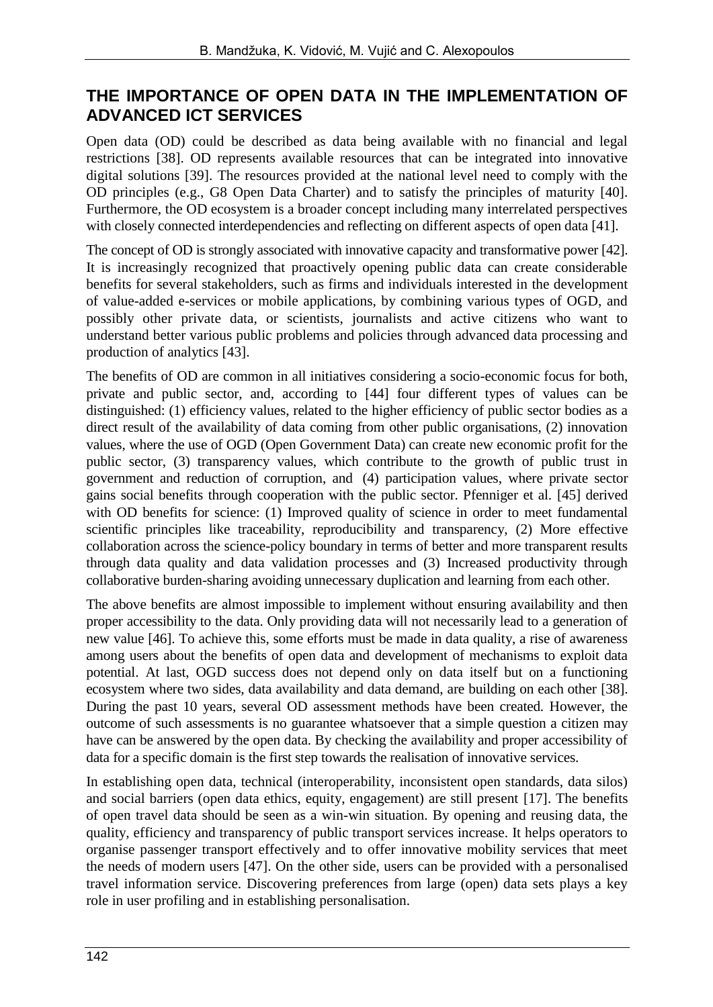#### **THE IMPORTANCE OF OPEN DATA IN THE IMPLEMENTATION OF ADVANCED ICT SERVICES**

Open data (OD) could be described as data being available with no financial and legal restrictions [38]. OD represents available resources that can be integrated into innovative digital solutions [39]. The resources provided at the national level need to comply with the OD principles (e.g., G8 Open Data Charter) and to satisfy the principles of maturity [40]. Furthermore, the OD ecosystem is a broader concept including many interrelated perspectives with closely connected interdependencies and reflecting on different aspects of open data [41].

The concept of OD is strongly associated with innovative capacity and transformative power [42]. It is increasingly recognized that proactively opening public data can create considerable benefits for several stakeholders, such as firms and individuals interested in the development of value-added e-services or mobile applications, by combining various types of OGD, and possibly other private data, or scientists, journalists and active citizens who want to understand better various public problems and policies through advanced data processing and production of analytics [43].

The benefits of OD are common in all initiatives considering a socio-economic focus for both, private and public sector, and, according to [44] four different types of values can be distinguished: (1) efficiency values, related to the higher efficiency of public sector bodies as a direct result of the availability of data coming from other public organisations, (2) innovation values, where the use of OGD (Open Government Data) can create new economic profit for the public sector, (3) transparency values, which contribute to the growth of public trust in government and reduction of corruption, and (4) participation values, where private sector gains social benefits through cooperation with the public sector. Pfenniger et al. [45] derived with OD benefits for science: (1) Improved quality of science in order to meet fundamental scientific principles like traceability, reproducibility and transparency, (2) More effective collaboration across the science-policy boundary in terms of better and more transparent results through data quality and data validation processes and (3) Increased productivity through collaborative burden-sharing avoiding unnecessary duplication and learning from each other.

The above benefits are almost impossible to implement without ensuring availability and then proper accessibility to the data. Only providing data will not necessarily lead to a generation of new value [46]. To achieve this, some efforts must be made in data quality, a rise of awareness among users about the benefits of open data and development of mechanisms to exploit data potential. At last, OGD success does not depend only on data itself but on a functioning ecosystem where two sides, data availability and data demand, are building on each other [38]. During the past 10 years, several OD assessment methods have been created. However, the outcome of such assessments is no guarantee whatsoever that a simple question a citizen may have can be answered by the open data. By checking the availability and proper accessibility of data for a specific domain is the first step towards the realisation of innovative services.

In establishing open data, technical (interoperability, inconsistent open standards, data silos) and social barriers (open data ethics, equity, engagement) are still present [17]. The benefits of open travel data should be seen as a win-win situation. By opening and reusing data, the quality, efficiency and transparency of public transport services increase. It helps operators to organise passenger transport effectively and to offer innovative mobility services that meet the needs of modern users [47]. On the other side, users can be provided with a personalised travel information service. Discovering preferences from large (open) data sets plays a key role in user profiling and in establishing personalisation.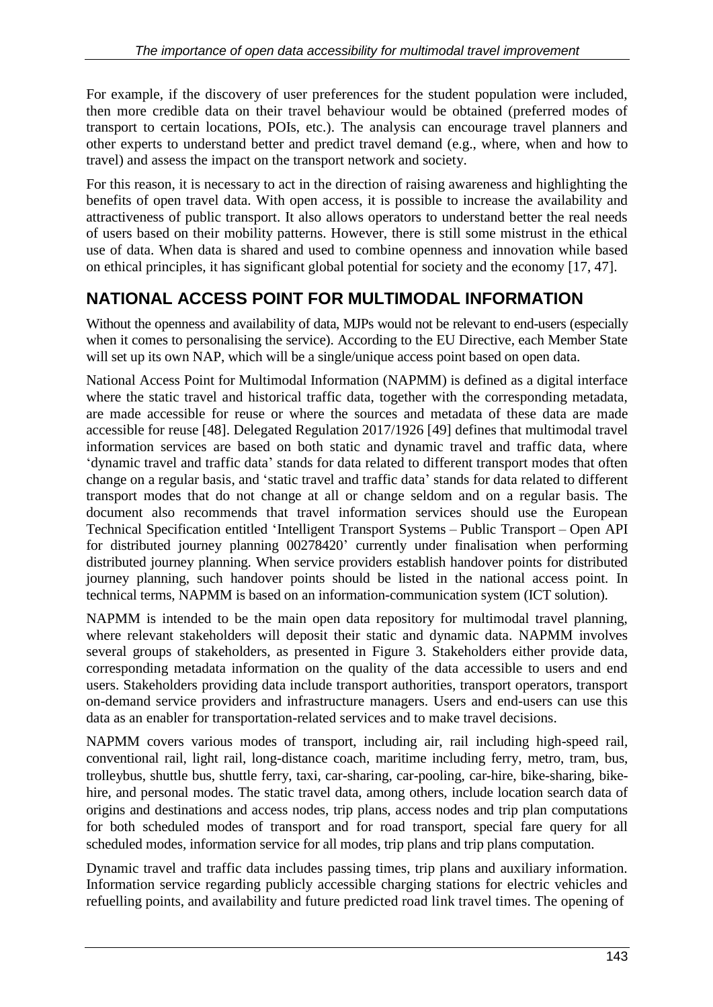For example, if the discovery of user preferences for the student population were included, then more credible data on their travel behaviour would be obtained (preferred modes of transport to certain locations, POIs, etc.). The analysis can encourage travel planners and other experts to understand better and predict travel demand (e.g., where, when and how to travel) and assess the impact on the transport network and society.

For this reason, it is necessary to act in the direction of raising awareness and highlighting the benefits of open travel data. With open access, it is possible to increase the availability and attractiveness of public transport. It also allows operators to understand better the real needs of users based on their mobility patterns. However, there is still some mistrust in the ethical use of data. When data is shared and used to combine openness and innovation while based on ethical principles, it has significant global potential for society and the economy [17, 47].

## **NATIONAL ACCESS POINT FOR MULTIMODAL INFORMATION**

Without the openness and availability of data, MJPs would not be relevant to end-users (especially when it comes to personalising the service). According to the EU Directive, each Member State will set up its own NAP, which will be a single/unique access point based on open data.

National Access Point for Multimodal Information (NAPMM) is defined as a digital interface where the static travel and historical traffic data, together with the corresponding metadata, are made accessible for reuse or where the sources and metadata of these data are made accessible for reuse [48]. Delegated Regulation 2017/1926 [49] defines that multimodal travel information services are based on both static and dynamic travel and traffic data, where 'dynamic travel and traffic data' stands for data related to different transport modes that often change on a regular basis, and 'static travel and traffic data' stands for data related to different transport modes that do not change at all or change seldom and on a regular basis. The document also recommends that travel information services should use the European Technical Specification entitled 'Intelligent Transport Systems – Public Transport – Open API for distributed journey planning 00278420' currently under finalisation when performing distributed journey planning. When service providers establish handover points for distributed journey planning, such handover points should be listed in the national access point. In technical terms, NAPMM is based on an information-communication system (ICT solution).

NAPMM is intended to be the main open data repository for multimodal travel planning, where relevant stakeholders will deposit their static and dynamic data. NAPMM involves several groups of stakeholders, as presented in Figure 3. Stakeholders either provide data, corresponding metadata information on the quality of the data accessible to users and end users. Stakeholders providing data include transport authorities, transport operators, transport on-demand service providers and infrastructure managers. Users and end-users can use this data as an enabler for transportation-related services and to make travel decisions.

NAPMM covers various modes of transport, including air, rail including high-speed rail, conventional rail, light rail, long-distance coach, maritime including ferry, metro, tram, bus, trolleybus, shuttle bus, shuttle ferry, taxi, car-sharing, car-pooling, car-hire, bike-sharing, bikehire, and personal modes. The static travel data, among others, include location search data of origins and destinations and access nodes, trip plans, access nodes and trip plan computations for both scheduled modes of transport and for road transport, special fare query for all scheduled modes, information service for all modes, trip plans and trip plans computation.

Dynamic travel and traffic data includes passing times, trip plans and auxiliary information. Information service regarding publicly accessible charging stations for electric vehicles and refuelling points, and availability and future predicted road link travel times. The opening of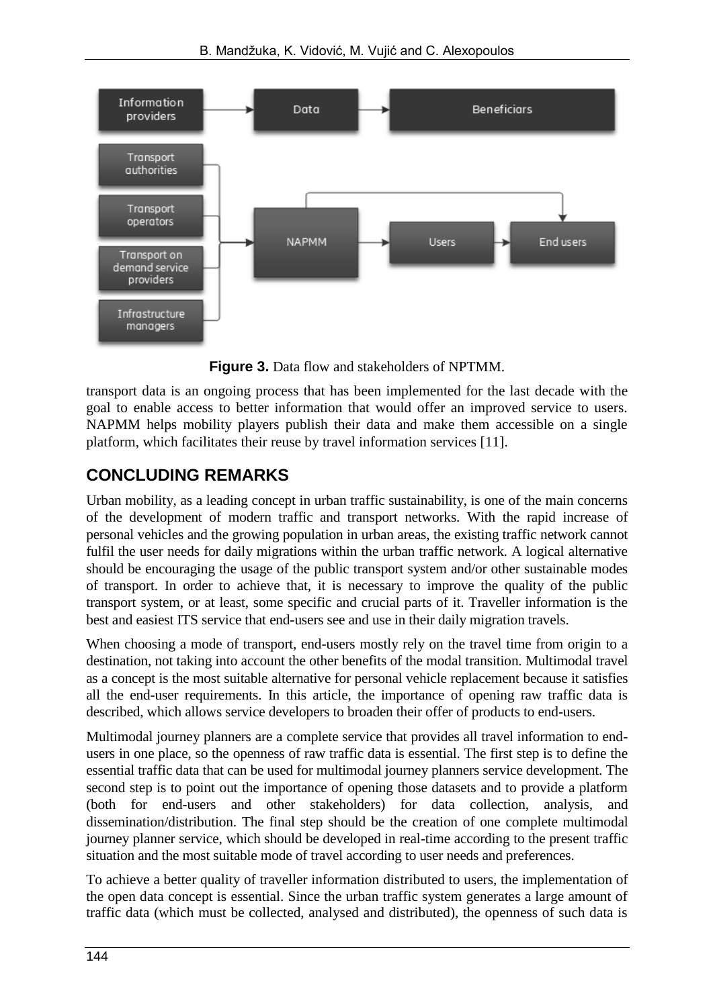

**Figure 3.** Data flow and stakeholders of NPTMM.

transport data is an ongoing process that has been implemented for the last decade with the goal to enable access to better information that would offer an improved service to users. NAPMM helps mobility players publish their data and make them accessible on a single platform, which facilitates their reuse by travel information services [11].

## **CONCLUDING REMARKS**

Urban mobility, as a leading concept in urban traffic sustainability, is one of the main concerns of the development of modern traffic and transport networks. With the rapid increase of personal vehicles and the growing population in urban areas, the existing traffic network cannot fulfil the user needs for daily migrations within the urban traffic network. A logical alternative should be encouraging the usage of the public transport system and/or other sustainable modes of transport. In order to achieve that, it is necessary to improve the quality of the public transport system, or at least, some specific and crucial parts of it. Traveller information is the best and easiest ITS service that end-users see and use in their daily migration travels.

When choosing a mode of transport, end-users mostly rely on the travel time from origin to a destination, not taking into account the other benefits of the modal transition. Multimodal travel as a concept is the most suitable alternative for personal vehicle replacement because it satisfies all the end-user requirements. In this article, the importance of opening raw traffic data is described, which allows service developers to broaden their offer of products to end-users.

Multimodal journey planners are a complete service that provides all travel information to endusers in one place, so the openness of raw traffic data is essential. The first step is to define the essential traffic data that can be used for multimodal journey planners service development. The second step is to point out the importance of opening those datasets and to provide a platform (both for end-users and other stakeholders) for data collection, analysis, and dissemination/distribution. The final step should be the creation of one complete multimodal journey planner service, which should be developed in real-time according to the present traffic situation and the most suitable mode of travel according to user needs and preferences.

To achieve a better quality of traveller information distributed to users, the implementation of the open data concept is essential. Since the urban traffic system generates a large amount of traffic data (which must be collected, analysed and distributed), the openness of such data is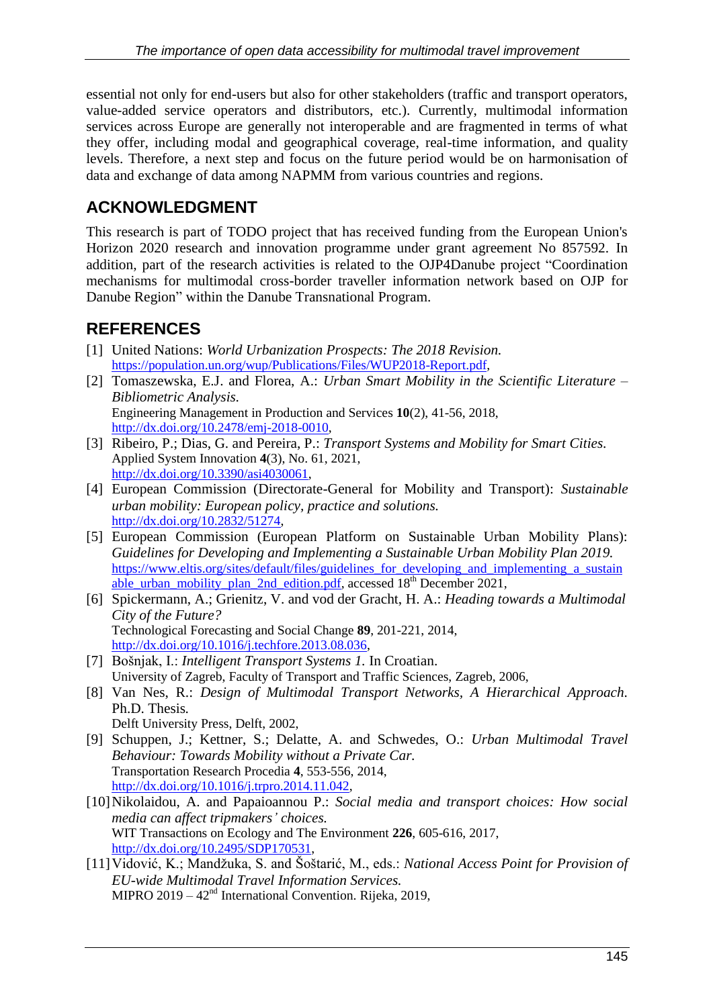essential not only for end-users but also for other stakeholders (traffic and transport operators, value-added service operators and distributors, etc.). Currently, multimodal information services across Europe are generally not interoperable and are fragmented in terms of what they offer, including modal and geographical coverage, real-time information, and quality levels. Therefore, a next step and focus on the future period would be on harmonisation of data and exchange of data among NAPMM from various countries and regions.

#### **ACKNOWLEDGMENT**

This research is part of TODO project that has received funding from the European Union's Horizon 2020 research and innovation programme under grant agreement No 857592. In addition, part of the research activities is related to the OJP4Danube project "Coordination mechanisms for multimodal cross-border traveller information network based on OJP for Danube Region" within the Danube Transnational Program.

## **REFERENCES**

- [1] United Nations: *World Urbanization Prospects: The 2018 Revision.* [https://population.un.org/wup/Publications/Files/WUP2018-Report.pdf,](https://population.un.org/wup/Publications/Files/WUP2018-Report.pdf)
- [2] Tomaszewska, E.J. and Florea, A.: *Urban Smart Mobility in the Scientific Literature – Bibliometric Analysis.* Engineering Management in Production and Services **10**(2), 41-56, 2018, [http://dx.doi.org/10.2478/emj-2018-0010,](http://dx.doi.org/10.2478/emj-2018-0010)
- [3] Ribeiro, P.; Dias, G. and Pereira, P.: *Transport Systems and Mobility for Smart Cities.* Applied System Innovation **4**(3), No. 61, 2021, [http://dx.doi.org/10.3390/asi4030061,](http://dx.doi.org/10.3390/asi4030061)
- [4] European Commission (Directorate-General for Mobility and Transport): *Sustainable urban mobility: European policy, practice and solutions.* [http://dx.doi.org/10.2832/51274,](http://dx.doi.org/10.2832/51274)
- [5] European Commission (European Platform on Sustainable Urban Mobility Plans): *Guidelines for Developing and Implementing a Sustainable Urban Mobility Plan 2019.* [https://www.eltis.org/sites/default/files/guidelines\\_for\\_developing\\_and\\_implementing\\_a\\_sustain](https://www.eltis.org/sites/default/files/guidelines_for_developing_and_implementing_a_sustainable_urban_mobility_plan_2nd_edition.pdf) able urban mobility plan 2nd edition.pdf, accessed 18<sup>th</sup> December 2021,
- [6] Spickermann, A.; Grienitz, V. and vod der Gracht, H. A.: *Heading towards a Multimodal City of the Future?* Technological Forecasting and Social Change **89**, 201-221, 2014, [http://dx.doi.org/10.1016/j.techfore.2013.08.036,](http://dx.doi.org/10.1016/j.techfore.2013.08.036)
- [7] Bošnjak, I.: *Intelligent Transport Systems 1.* In Croatian. University of Zagreb, Faculty of Transport and Traffic Sciences, Zagreb, 2006,
- [8] Van Nes, R.: *Design of Multimodal Transport Networks, A Hierarchical Approach.*  Ph.D. Thesis*.* Delft University Press, Delft, 2002,
- [9] Schuppen, J.; Kettner, S.; Delatte, A. and Schwedes, O.: *Urban Multimodal Travel Behaviour: Towards Mobility without a Private Car.* Transportation Research Procedia **4**, 553-556, 2014, [http://dx.doi.org/10.1016/j.trpro.2014.11.042,](http://dx.doi.org/10.1016/j.trpro.2014.11.042)
- [10]Nikolaidou, A. and Papaioannou P.: *Social media and transport choices: How social media can affect tripmakers' choices.* WIT Transactions on Ecology and The Environment **226**, 605-616, 2017, [http://dx.doi.org/10.2495/SDP170531,](http://dx.doi.org/10.2495/SDP170531)
- [11]Vidović, K.; Mandžuka, S. and Šoštarić, M., eds.: *National Access Point for Provision of EU-wide Multimodal Travel Information Services.* MIPRO 2019 – 42nd International Convention. Rijeka, 2019,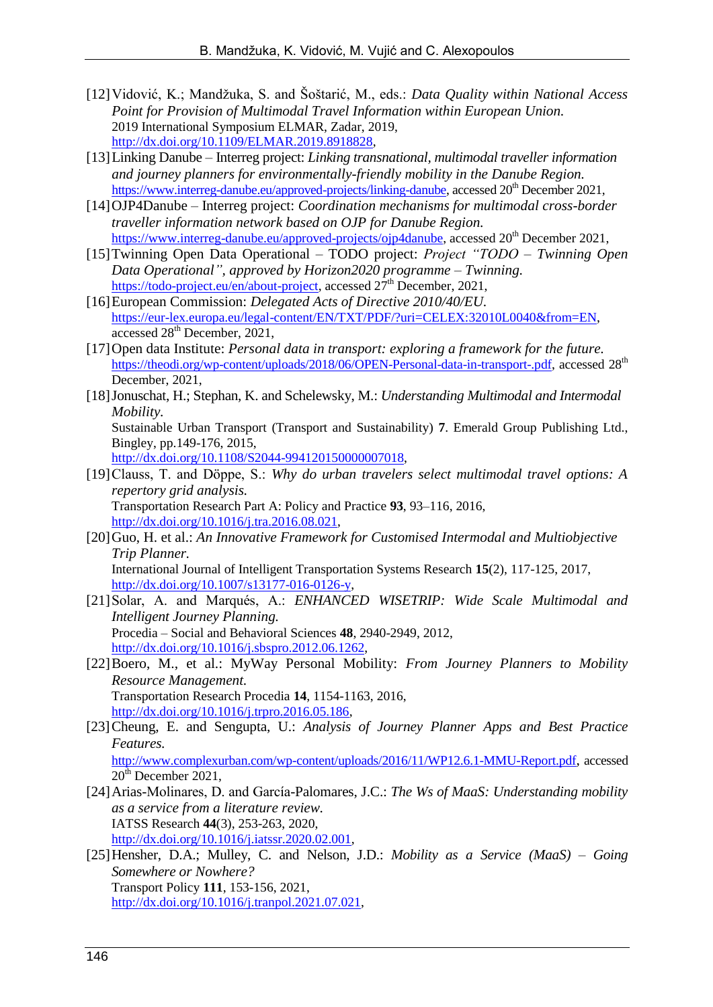- [12]Vidović, K.; Mandžuka, S. and Šoštarić, M., eds.: *Data Quality within National Access Point for Provision of Multimodal Travel Information within European Union.* 2019 International Symposium ELMAR, Zadar, 2019, [http://dx.doi.org/10.1109/ELMAR.2019.8918828,](http://dx.doi.org/10.1109/ELMAR.2019.8918828)
- [13]Linking Danube Interreg project: *Linking transnational, multimodal traveller information and journey planners for environmentally-friendly mobility in the Danube Region.* [https://www.interreg-danube.eu/approved-projects/linking-danube,](https://www.interreg-danube.eu/approved-projects/linking-danube) accessed 20<sup>th</sup> December 2021,
- [14]OJP4Danube Interreg project: *Coordination mechanisms for multimodal cross-border traveller information network based on OJP for Danube Region.* [https://www.interreg-danube.eu/approved-projects/ojp4danube,](https://www.interreg-danube.eu/approved-projects/ojp4danube) accessed 20<sup>th</sup> December 2021,
- [15]Twinning Open Data Operational TODO project: *Project "TODO – Twinning Open Data Operational", approved by Horizon2020 programme – Twinning.* [https://todo-project.eu/en/about-project,](https://todo-project.eu/en/about-project) accessed 27<sup>th</sup> December, 2021,
- [16]European Commission: *Delegated Acts of Directive 2010/40/EU.* [https://eur-lex.europa.eu/legal-content/EN/TXT/PDF/?uri=CELEX:32010L0040&from=EN,](https://eur-lex.europa.eu/legal-content/EN/TXT/PDF/?uri=CELEX:32010L0040&from=EN) accessed 28<sup>th</sup> December, 2021,
- [17]Open data Institute: *Personal data in transport: exploring a framework for the future.* [https://theodi.org/wp-content/uploads/2018/06/OPEN-Personal-data-in-transport-.pdf,](https://theodi.org/wp-content/uploads/2018/06/OPEN-Personal-data-in-transport-.pdf) accessed 28<sup>th</sup> December, 2021,
- [18]Jonuschat, H.; Stephan, K. and Schelewsky, M.: *Understanding Multimodal and Intermodal Mobility.*

Sustainable Urban Transport (Transport and Sustainability) **7**. Emerald Group Publishing Ltd., Bingley, pp.149-176, 2015,

[http://dx.doi.org/10.1108/S2044-994120150000007018,](http://dx.doi.org/10.1108/S2044-994120150000007018)

- [19]Clauss, T. and Döppe, S.: *Why do urban travelers select multimodal travel options: A repertory grid analysis.* Transportation Research Part A: Policy and Practice **93**, 93–116, 2016, [http://dx.doi.org/10.1016/j.tra.2016.08.021,](http://dx.doi.org/10.1016/j.tra.2016.08.021)
- [20]Guo, H. et al.: *An Innovative Framework for Customised Intermodal and Multiobjective Trip Planner.* International Journal of Intelligent Transportation Systems Research **15**(2), 117-125, 2017,

[http://dx.doi.org/10.1007/s13177-016-0126-y,](http://dx.doi.org/10.1007/s13177-016-0126-y)

- [21]Solar, A. and Marqués, A.: *ENHANCED WISETRIP: Wide Scale Multimodal and Intelligent Journey Planning.* Procedia – Social and Behavioral Sciences **48**, 2940-2949, 2012, [http://dx.doi.org/10.1016/j.sbspro.2012.06.1262,](http://dx.doi.org/10.1016/j.sbspro.2012.06.1262)
- [22]Boero, M., et al.: MyWay Personal Mobility: *From Journey Planners to Mobility Resource Management.*  Transportation Research Procedia **14**, 1154-1163, 2016, [http://dx.doi.org/10.1016/j.trpro.2016.05.186,](http://dx.doi.org/10.1016/j.trpro.2016.05.186)
- [23]Cheung, E. and Sengupta, U.: *Analysis of Journey Planner Apps and Best Practice Features.* <http://www.complexurban.com/wp-content/uploads/2016/11/WP12.6.1-MMU-Report.pdf>, accessed
- $20<sup>th</sup>$  December 2021, [24]Arias-Molinares, D. and García-Palomares, J.C.: *The Ws of MaaS: Understanding mobility as a service from a literature review.* IATSS Research **44**(3), 253-263, 2020, [http://dx.doi.org/10.1016/j.iatssr.2020.02.001,](http://dx.doi.org/10.1016/j.iatssr.2020.02.001)
- [25]Hensher, D.A.; Mulley, C. and Nelson, J.D.: *Mobility as a Service (MaaS) – Going Somewhere or Nowhere?* Transport Policy **111**, 153-156, 2021, [http://dx.doi.org/10.1016/j.tranpol.2021.07.021,](http://dx.doi.org/10.1016/j.tranpol.2021.07.021)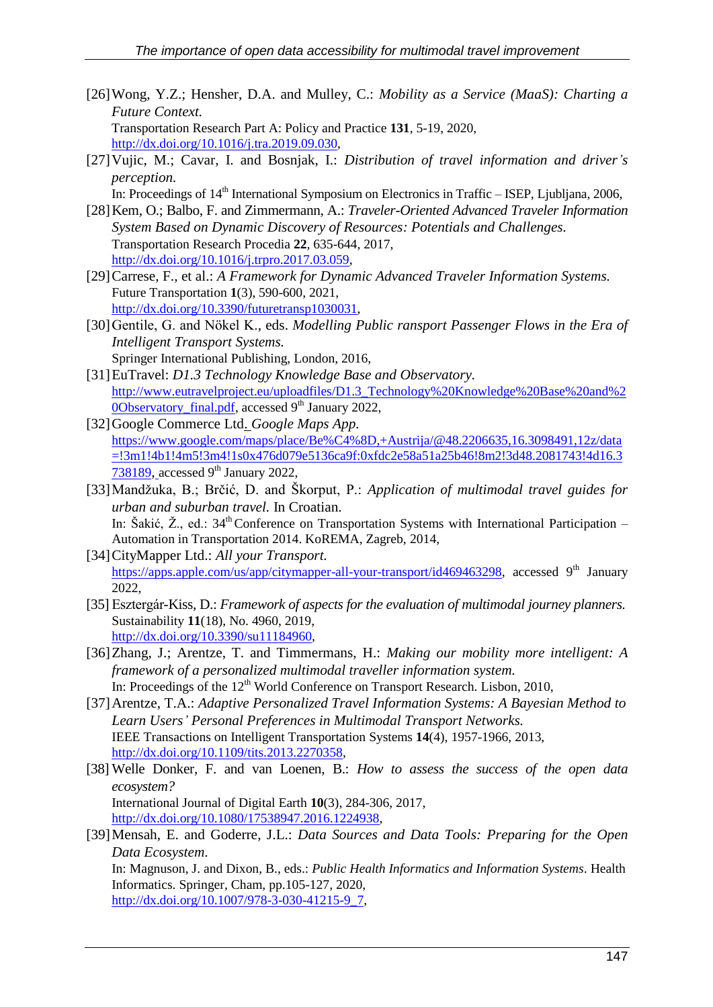- [26]Wong, Y.Z.; Hensher, D.A. and Mulley, C.: *Mobility as a Service (MaaS): Charting a Future Context.* Transportation Research Part A: Policy and Practice **131**, 5-19, 2020, [http://dx.doi.org/10.1016/j.tra.2019.09.030,](http://dx.doi.org/10.1016/j.tra.2019.09.030)
- [27]Vujic, M.; Cavar, I. and Bosnjak, I.: *Distribution of travel information and driver's perception.*
	- In: Proceedings of 14<sup>th</sup> International Symposium on Electronics in Traffic ISEP, Ljubljana, 2006,
- [28]Kem, O.; Balbo, F. and Zimmermann, A.: *Traveler-Oriented Advanced Traveler Information System Based on Dynamic Discovery of Resources: Potentials and Challenges.* Transportation Research Procedia **22**, 635-644, 2017, [http://dx.doi.org/10.1016/j.trpro.2017.03.059,](http://dx.doi.org/10.1016/j.trpro.2017.03.059)
- [29]Carrese, F., et al.: *A Framework for Dynamic Advanced Traveler Information Systems.* Future Transportation **1**(3), 590-600, 2021, [http://dx.doi.org/10.3390/futuretransp1030031,](http://dx.doi.org/10.3390/futuretransp1030031)
- [30]Gentile, G. and Nökel K., eds. *Modelling Public ransport Passenger Flows in the Era of Intelligent Transport Systems.* Springer International Publishing, London, 2016,
- [31]EuTravel: *D1.3 Technology Knowledge Base and Observatory.* [http://www.eutravelproject.eu/uploadfiles/D1.3\\_Technology%20Knowledge%20Base%20and%2](http://www.eutravelproject.eu/uploadfiles/D1.3_Technology%20Knowledge%20Base%20and%20Observatory_final.pdf) [0Observatory\\_final.pdf,](http://www.eutravelproject.eu/uploadfiles/D1.3_Technology%20Knowledge%20Base%20and%20Observatory_final.pdf) accessed 9<sup>th</sup> January 2022,
- [32]Google Commerce Ltd. *Google Maps App.* [https://www.google.com/maps/place/Be%C4%8D,+Austrija/@48.2206635,16.3098491,12z/data](https://www.google.com/maps/place/Be%C4%8D,+Austrija/@48.2206635,16.3098491,12z/data=!3m1!4b1!4m5!3m4!1s0x476d079e5136ca9f:0xfdc2e58a51a25b46!8m2!3d48.2081743!4d16.3738189) [=!3m1!4b1!4m5!3m4!1s0x476d079e5136ca9f:0xfdc2e58a51a25b46!8m2!3d48.2081743!4d16.3](https://www.google.com/maps/place/Be%C4%8D,+Austrija/@48.2206635,16.3098491,12z/data=!3m1!4b1!4m5!3m4!1s0x476d079e5136ca9f:0xfdc2e58a51a25b46!8m2!3d48.2081743!4d16.3738189)  $738189$ , accessed 9<sup>th</sup> January 2022,
- [33]Mandžuka, B.; Brčić, D. and Škorput, P.: *Application of multimodal travel guides for urban and suburban travel.* In Croatian. In: Šakić, Ž., ed.: 34<sup>th</sup> Conference on Transportation Systems with International Participation – Automation in Transportation 2014. KoREMA, Zagreb, 2014,
- [34]CityMapper Ltd.: *All your Transport.* [https://apps.apple.com/us/app/citymapper-all-your-transport/id469463298,](https://apps.apple.com/us/app/citymapper-all-your-transport/id469463298) accessed 9<sup>th</sup> January 2022,
- [35] Esztergár-Kiss, D.: *Framework of aspects for the evaluation of multimodal journey planners.* Sustainability **11**(18), No. 4960, 2019, [http://dx.doi.org/10.3390/su11184960,](http://dx.doi.org/10.3390/su11184960)
- [36]Zhang, J.; Arentze, T. and Timmermans, H.: *Making our mobility more intelligent: A framework of a personalized multimodal traveller information system.* In: Proceedings of the  $12<sup>th</sup>$  World Conference on Transport Research. Lisbon, 2010,
- [37]Arentze, T.A.: *Adaptive Personalized Travel Information Systems: A Bayesian Method to Learn Users' Personal Preferences in Multimodal Transport Networks.* IEEE Transactions on Intelligent Transportation Systems **14**(4), 1957-1966, 2013, [http://dx.doi.org/10.1109/tits.2013.2270358,](http://dx.doi.org/10.1109/tits.2013.2270358)
- [38] Welle Donker, F. and van Loenen, B.: *How to assess the success of the open data ecosystem?* International Journal of Digital Earth **10**(3), 284-306, 2017, [http://dx.doi.org/10.1080/17538947.2016.1224938,](http://dx.doi.org/10.1080/17538947.2016.1224938)
- [39]Mensah, E. and Goderre, J.L.: *Data Sources and Data Tools: Preparing for the Open Data Ecosystem*. In: Magnuson, J. and Dixon, B., eds.: *Public Health Informatics and Information Systems*. Health

Informatics. Springer, Cham, pp.105-127, 2020, [http://dx.doi.org/10.1007/978-3-030-41215-9\\_7,](http://dx.doi.org/10.1007/978-3-030-41215-9_7)